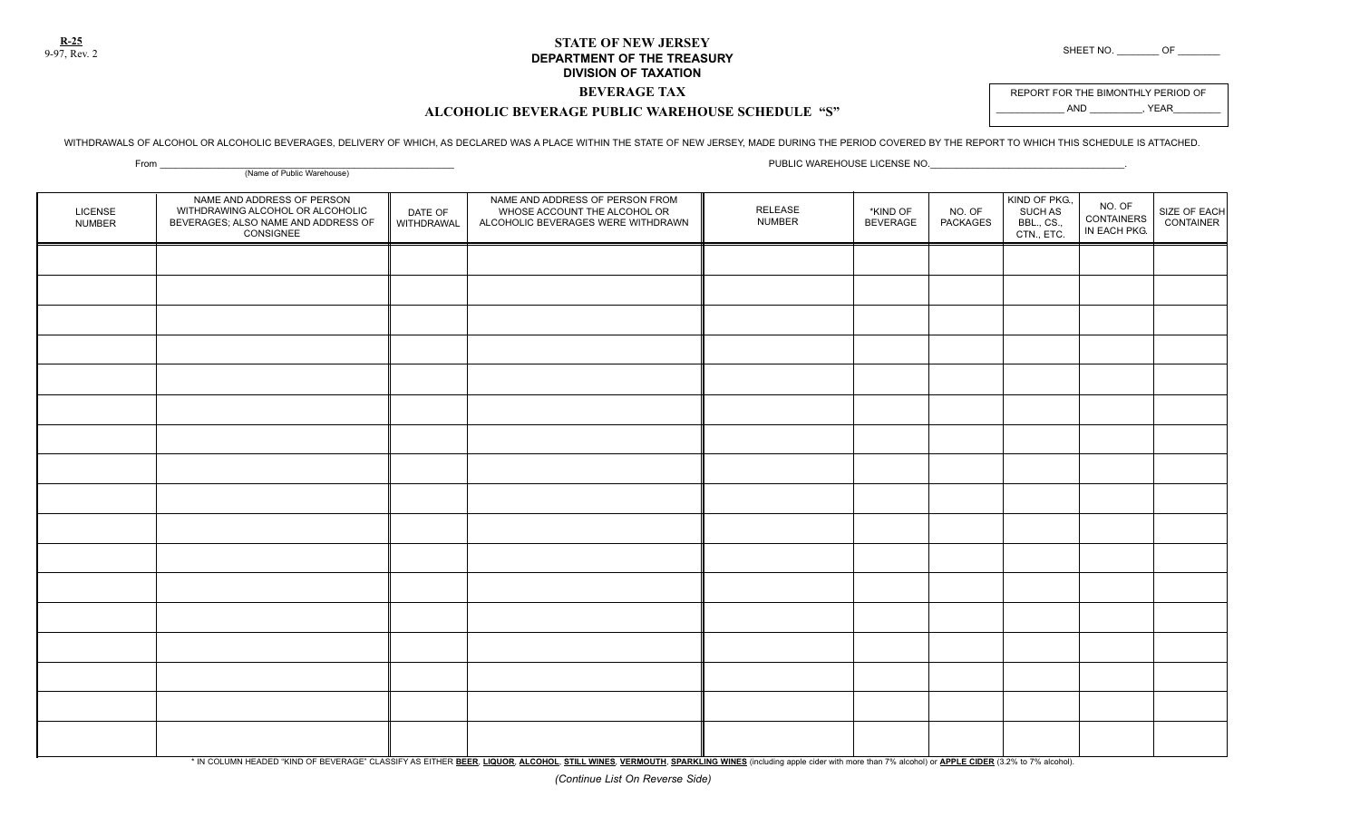**R-25**

## **STATE OF NEW JERSEY DEPARTMENT OF THE TREASURY** SHEET NO. \_\_\_\_\_\_\_\_ OF \_\_\_\_\_\_\_\_\_\_ OF **DIVISION OF TAXATION**

## **BEVERAGE TAX ALCOHOLIC BEVERAGE PUBLIC WAREHOUSE SCHEDULE "S"**

REPORT FOR THE BIMONTHLY PERIOD OF AND , YEAR

WITHDRAWALS OF ALCOHOL OR ALCOHOLIC BEVERAGES, DELIVERY OF WHICH, AS DECLARED WAS A PLACE WITHIN THE STATE OF NEW JERSEY, MADE DURING THE PERIOD COVERED BY THE REPORT TO WHICH THIS SCHEDULE IS ATTACHED.

| _____<br>(Name of Public Warehouse) |                                                                                                                    |                       |                                                                                                       |                          |                             |                           |                                                      |                                      |                           |
|-------------------------------------|--------------------------------------------------------------------------------------------------------------------|-----------------------|-------------------------------------------------------------------------------------------------------|--------------------------|-----------------------------|---------------------------|------------------------------------------------------|--------------------------------------|---------------------------|
| LICENSE<br><b>NUMBER</b>            | NAME AND ADDRESS OF PERSON<br>WITHDRAWING ALCOHOL OR ALCOHOLIC<br>BEVERAGES; ALSO NAME AND ADDRESS OF<br>CONSIGNEE | DATE OF<br>WITHDRAWAL | NAME AND ADDRESS OF PERSON FROM<br>WHOSE ACCOUNT THE ALCOHOL OR<br>ALCOHOLIC BEVERAGES WERE WITHDRAWN | RELEASE<br><b>NUMBER</b> | *KIND OF<br><b>BEVERAGE</b> | NO. OF<br><b>PACKAGES</b> | KIND OF PKG.,<br>SUCH AS<br>BBL., CS.,<br>CTN., ETC. | NO. OF<br>CONTAINERS<br>IN EACH PKG. | SIZE OF EACH<br>CONTAINER |
|                                     |                                                                                                                    |                       |                                                                                                       |                          |                             |                           |                                                      |                                      |                           |
|                                     |                                                                                                                    |                       |                                                                                                       |                          |                             |                           |                                                      |                                      |                           |
|                                     |                                                                                                                    |                       |                                                                                                       |                          |                             |                           |                                                      |                                      |                           |
|                                     |                                                                                                                    |                       |                                                                                                       |                          |                             |                           |                                                      |                                      |                           |
|                                     |                                                                                                                    |                       |                                                                                                       |                          |                             |                           |                                                      |                                      |                           |
|                                     |                                                                                                                    |                       |                                                                                                       |                          |                             |                           |                                                      |                                      |                           |
|                                     |                                                                                                                    |                       |                                                                                                       |                          |                             |                           |                                                      |                                      |                           |
|                                     |                                                                                                                    |                       |                                                                                                       |                          |                             |                           |                                                      |                                      |                           |
|                                     |                                                                                                                    |                       |                                                                                                       |                          |                             |                           |                                                      |                                      |                           |
|                                     |                                                                                                                    |                       |                                                                                                       |                          |                             |                           |                                                      |                                      |                           |
|                                     |                                                                                                                    |                       |                                                                                                       |                          |                             |                           |                                                      |                                      |                           |
|                                     |                                                                                                                    |                       |                                                                                                       |                          |                             |                           |                                                      |                                      |                           |
|                                     |                                                                                                                    |                       |                                                                                                       |                          |                             |                           |                                                      |                                      |                           |
|                                     |                                                                                                                    |                       |                                                                                                       |                          |                             |                           |                                                      |                                      |                           |
|                                     |                                                                                                                    |                       |                                                                                                       |                          |                             |                           |                                                      |                                      |                           |
|                                     |                                                                                                                    |                       |                                                                                                       |                          |                             |                           |                                                      |                                      |                           |
|                                     |                                                                                                                    |                       |                                                                                                       |                          |                             |                           |                                                      |                                      |                           |

\* IN COLUMN HEADED "KIND OF BEVERAGE" CLASSIFY AS EITHER BEER, LIQUOR, ALCOHOL, STILL WINES, VERMOUTH, SPARKLING WINES (including apple cider with more than 7% alcohol) or APPLE CIDER (3.2% to 7% alcohol).

From \_\_\_\_\_\_\_\_\_\_\_\_\_\_\_\_\_\_\_\_\_\_\_\_\_\_\_\_\_\_\_\_\_\_\_\_\_\_\_\_\_\_\_\_\_\_\_\_\_\_\_\_\_\_\_\_ PUBLIC WAREHOUSE LICENSE NO.\_\_\_\_\_\_\_\_\_\_\_\_\_\_\_\_\_\_\_\_\_\_\_\_\_\_\_\_\_\_\_\_\_\_\_\_\_.